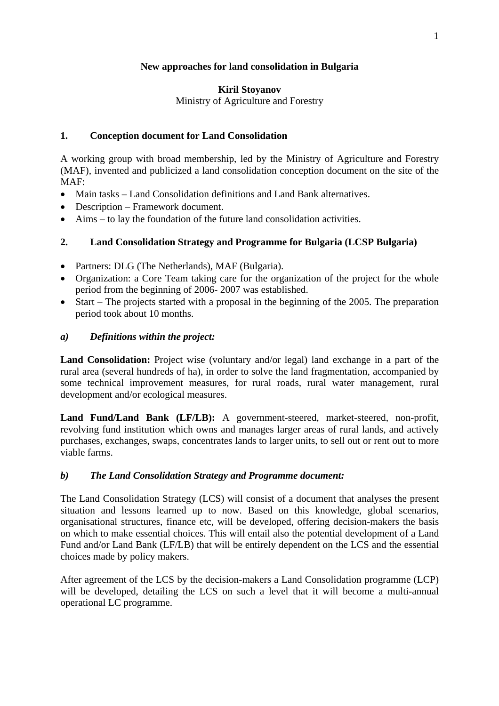## **New approaches for land consolidation in Bulgaria**

#### **Kiril Stoyanov**

Ministry of Agriculture and Forestry

## **1. Conception document for Land Consolidation**

A working group with broad membership, led by the Ministry of Agriculture and Forestry (MAF), invented and publicized a land consolidation conception document on the site of the MAF:

- Main tasks Land Consolidation definitions and Land Bank alternatives.
- Description Framework document.
- Aims to lay the foundation of the future land consolidation activities.

# **2. Land Consolidation Strategy and Programme for Bulgaria (LCSP Bulgaria)**

- Partners: DLG (The Netherlands), MAF (Bulgaria).
- Organization: a Core Team taking care for the organization of the project for the whole period from the beginning of 2006- 2007 was established.
- Start The projects started with a proposal in the beginning of the 2005. The preparation period took about 10 months.

## *a) Definitions within the project:*

**Land Consolidation:** Project wise (voluntary and/or legal) land exchange in a part of the rural area (several hundreds of ha), in order to solve the land fragmentation, accompanied by some technical improvement measures, for rural roads, rural water management, rural development and/or ecological measures.

**Land Fund/Land Bank (LF/LB):** A government-steered, market-steered, non-profit, revolving fund institution which owns and manages larger areas of rural lands, and actively purchases, exchanges, swaps, concentrates lands to larger units, to sell out or rent out to more viable farms.

## *b) The Land Consolidation Strategy and Programme document:*

The Land Consolidation Strategy (LCS) will consist of a document that analyses the present situation and lessons learned up to now. Based on this knowledge, global scenarios, organisational structures, finance etc, will be developed, offering decision-makers the basis on which to make essential choices. This will entail also the potential development of a Land Fund and/or Land Bank (LF/LB) that will be entirely dependent on the LCS and the essential choices made by policy makers.

After agreement of the LCS by the decision-makers a Land Consolidation programme (LCP) will be developed, detailing the LCS on such a level that it will become a multi-annual operational LC programme.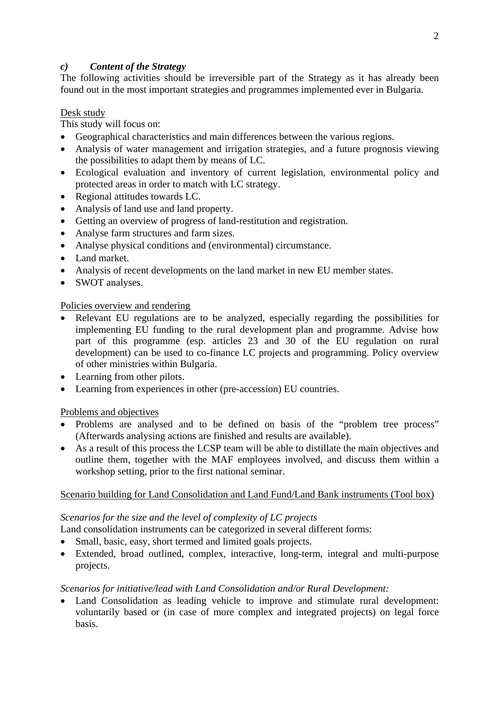## *c) Content of the Strategy*

The following activities should be irreversible part of the Strategy as it has already been found out in the most important strategies and programmes implemented ever in Bulgaria.

## Desk study

This study will focus on:

- Geographical characteristics and main differences between the various regions.
- Analysis of water management and irrigation strategies, and a future prognosis viewing the possibilities to adapt them by means of LC.
- Ecological evaluation and inventory of current legislation, environmental policy and protected areas in order to match with LC strategy.
- Regional attitudes towards LC.
- Analysis of land use and land property.
- Getting an overview of progress of land-restitution and registration.
- Analyse farm structures and farm sizes.
- Analyse physical conditions and (environmental) circumstance.
- Land market.
- Analysis of recent developments on the land market in new EU member states.
- SWOT analyses.

## Policies overview and rendering

- Relevant EU regulations are to be analyzed, especially regarding the possibilities for implementing EU funding to the rural development plan and programme. Advise how part of this programme (esp. articles 23 and 30 of the EU regulation on rural development) can be used to co-finance LC projects and programming. Policy overview of other ministries within Bulgaria.
- Learning from other pilots.
- Learning from experiences in other (pre-accession) EU countries.

## Problems and objectives

- Problems are analysed and to be defined on basis of the "problem tree process" (Afterwards analysing actions are finished and results are available).
- As a result of this process the LCSP team will be able to distillate the main objectives and outline them, together with the MAF employees involved, and discuss them within a workshop setting, prior to the first national seminar.

# Scenario building for Land Consolidation and Land Fund/Land Bank instruments (Tool box)

## *Scenarios for the size and the level of complexity of LC projects*

- Land consolidation instruments can be categorized in several different forms:
- Small, basic, easy, short termed and limited goals projects.
- Extended, broad outlined, complex, interactive, long-term, integral and multi-purpose projects.

## *Scenarios for initiative/lead with Land Consolidation and/or Rural Development:*

Land Consolidation as leading vehicle to improve and stimulate rural development: voluntarily based or (in case of more complex and integrated projects) on legal force basis.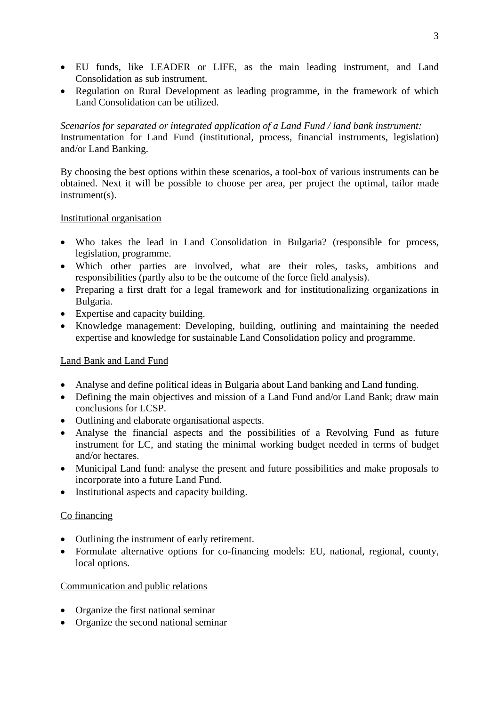- EU funds, like LEADER or LIFE, as the main leading instrument, and Land Consolidation as sub instrument.
- Regulation on Rural Development as leading programme, in the framework of which Land Consolidation can be utilized.

*Scenarios for separated or integrated application of a Land Fund / land bank instrument:*  Instrumentation for Land Fund (institutional, process, financial instruments, legislation) and/or Land Banking.

By choosing the best options within these scenarios, a tool-box of various instruments can be obtained. Next it will be possible to choose per area, per project the optimal, tailor made instrument(s).

#### Institutional organisation

- Who takes the lead in Land Consolidation in Bulgaria? (responsible for process, legislation, programme.
- Which other parties are involved, what are their roles, tasks, ambitions and responsibilities (partly also to be the outcome of the force field analysis).
- Preparing a first draft for a legal framework and for institutionalizing organizations in Bulgaria.
- Expertise and capacity building.
- Knowledge management: Developing, building, outlining and maintaining the needed expertise and knowledge for sustainable Land Consolidation policy and programme.

## Land Bank and Land Fund

- Analyse and define political ideas in Bulgaria about Land banking and Land funding.
- Defining the main objectives and mission of a Land Fund and/or Land Bank; draw main conclusions for LCSP.
- Outlining and elaborate organisational aspects.
- Analyse the financial aspects and the possibilities of a Revolving Fund as future instrument for LC, and stating the minimal working budget needed in terms of budget and/or hectares.
- Municipal Land fund: analyse the present and future possibilities and make proposals to incorporate into a future Land Fund.
- Institutional aspects and capacity building.

#### Co financing

- Outlining the instrument of early retirement.
- Formulate alternative options for co-financing models: EU, national, regional, county, local options.

#### Communication and public relations

- Organize the first national seminar
- Organize the second national seminar